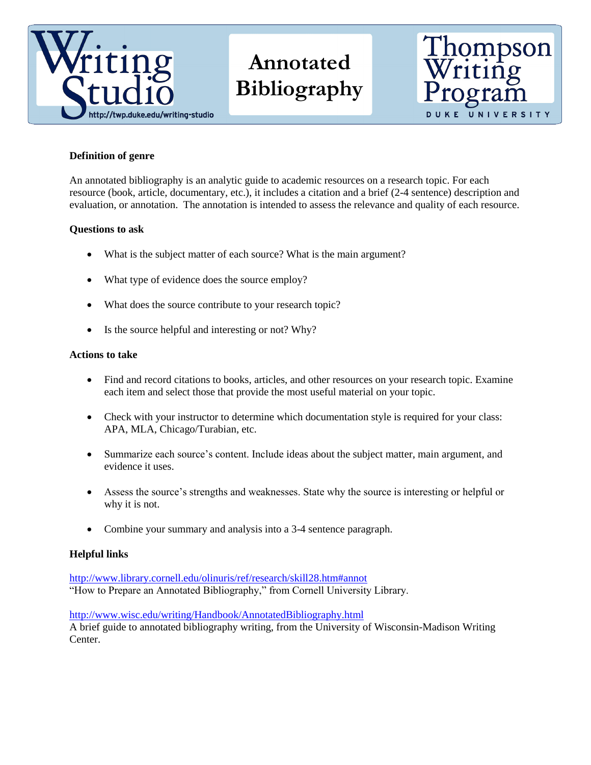

# **Annotated Bibliography**



## **Definition of genre**

An annotated bibliography is an analytic guide to academic resources on a research topic. For each resource (book, article, documentary, etc.), it includes a citation and a brief (2-4 sentence) description and evaluation, or annotation. The annotation is intended to assess the relevance and quality of each resource.

### **Questions to ask**

- What is the subject matter of each source? What is the main argument?
- What type of evidence does the source employ?
- What does the source contribute to your research topic?
- Is the source helpful and interesting or not? Why?

#### **Actions to take**

- Find and record citations to books, articles, and other resources on your research topic. Examine each item and select those that provide the most useful material on your topic.
- Check with your instructor to determine which documentation style is required for your class: APA, MLA, Chicago/Turabian, etc.
- Summarize each source's content. Include ideas about the subject matter, main argument, and evidence it uses.
- Assess the source's strengths and weaknesses. State why the source is interesting or helpful or why it is not.
- Combine your summary and analysis into a 3-4 sentence paragraph.

#### **Helpful links**

<http://www.library.cornell.edu/olinuris/ref/research/skill28.htm#annot> "How to Prepare an Annotated Bibliography," from Cornell University Library.

<http://www.wisc.edu/writing/Handbook/AnnotatedBibliography.html> A brief guide to annotated bibliography writing, from the University of Wisconsin-Madison Writing Center.